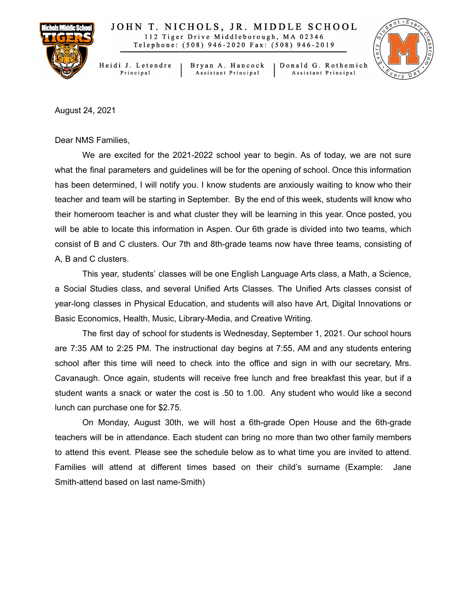

JOHN T. NICHOLS, JR. MIDDLE SCHOOL 112 Tiger Drive Middleborough, MA 02346 Telephone: (508) 946-2020 Fax: (508) 946-2019

Heidi J. Letendre Principal Assistant Principal

Bryan A. Hancock | Donald G. Rothemich Assistant Principal



August 24, 2021

Dear NMS Families,

We are excited for the 2021-2022 school year to begin. As of today, we are not sure what the final parameters and guidelines will be for the opening of school. Once this information has been determined, I will notify you. I know students are anxiously waiting to know who their teacher and team will be starting in September. By the end of this week, students will know who their homeroom teacher is and what cluster they will be learning in this year. Once posted, you will be able to locate this information in Aspen. Our 6th grade is divided into two teams, which consist of B and C clusters. Our 7th and 8th-grade teams now have three teams, consisting of A, B and C clusters.

This year, students' classes will be one English Language Arts class, a Math, a Science, a Social Studies class, and several Unified Arts Classes. The Unified Arts classes consist of year-long classes in Physical Education, and students will also have Art, Digital Innovations or Basic Economics, Health, Music, Library-Media, and Creative Writing.

The first day of school for students is Wednesday, September 1, 2021. Our school hours are 7:35 AM to 2:25 PM. The instructional day begins at 7:55, AM and any students entering school after this time will need to check into the office and sign in with our secretary, Mrs. Cavanaugh. Once again, students will receive free lunch and free breakfast this year, but if a student wants a snack or water the cost is .50 to 1.00. Any student who would like a second lunch can purchase one for \$2.75.

On Monday, August 30th, we will host a 6th-grade Open House and the 6th-grade teachers will be in attendance. Each student can bring no more than two other family members to attend this event. Please see the schedule below as to what time you are invited to attend. Families will attend at different times based on their child's surname (Example: Jane Smith-attend based on last name-Smith)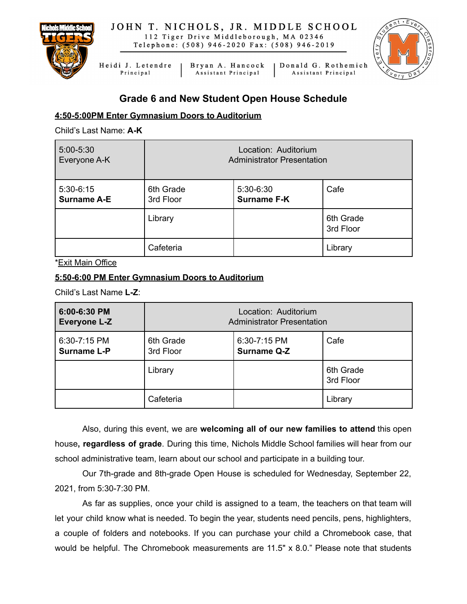

JOHN T. NICHOLS, JR. MIDDLE SCHOOL 112 Tiger Drive Middleborough, MA 02346 Telephone: (508) 946-2020 Fax: (508) 946-2019



Heidi J. Letendre Principal

Bryan A. Hancock | Donald G. Rothemich Assistant Principal Assistant Principal

## **Grade 6 and New Student Open House Schedule**

## **4:50-5:00PM Enter Gymnasium Doors to Auditorium**

Child's Last Name: **A-K**

| $5:00-5:30$        | Location: Auditorium              |                    |                        |
|--------------------|-----------------------------------|--------------------|------------------------|
| Everyone A-K       | <b>Administrator Presentation</b> |                    |                        |
| $5:30-6:15$        | 6th Grade                         | 5:30-6:30          | Cafe                   |
| <b>Surname A-E</b> | 3rd Floor                         | <b>Surname F-K</b> |                        |
|                    | Library                           |                    | 6th Grade<br>3rd Floor |
|                    | Cafeteria                         |                    | Library                |

\*Exit Main Office

## **5:50-6:00 PM Enter Gymnasium Doors to Auditorium**

Child's Last Name **L-Z**:

| 6:00-6:30 PM        | Location: Auditorium              |                    |                        |
|---------------------|-----------------------------------|--------------------|------------------------|
| <b>Everyone L-Z</b> | <b>Administrator Presentation</b> |                    |                        |
| 6:30-7:15 PM        | 6th Grade                         | 6:30-7:15 PM       | Cafe                   |
| <b>Surname L-P</b>  | 3rd Floor                         | <b>Surname Q-Z</b> |                        |
|                     | Library                           |                    | 6th Grade<br>3rd Floor |
|                     | Cafeteria                         |                    | Library                |

Also, during this event, we are **welcoming all of our new families to attend** this open house**, regardless of grade**. During this time, Nichols Middle School families will hear from our school administrative team, learn about our school and participate in a building tour.

Our 7th-grade and 8th-grade Open House is scheduled for Wednesday, September 22, 2021, from 5:30-7:30 PM.

As far as supplies, once your child is assigned to a team, the teachers on that team will let your child know what is needed. To begin the year, students need pencils, pens, highlighters, a couple of folders and notebooks. If you can purchase your child a Chromebook case, that would be helpful. The Chromebook measurements are 11.5" x 8.0." Please note that students